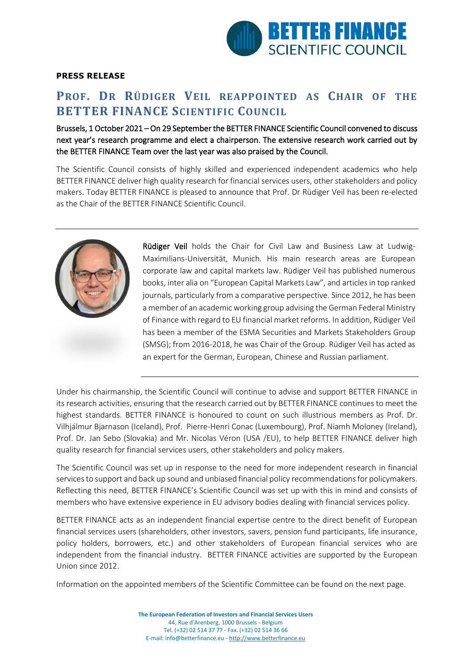

## **PRESS RELEASE**

## **PROF. DR RÜDIGER VEIL REAPPOINTED AS CHAIR OF THE BETTER FINANCE SCIENTIFIC COUNCIL**

## Brussels, 1 October 2021 – On 29 September the BETTER FINANCE Scientific Council convened to discuss next year's research programme and elect a chairperson. The extensive research work carried out by the BETTER FINANCE Team over the last year was also praised by the Council.

The Scientific Council consists of highly skilled and experienced independent academics who help BETTER FINANCE deliver high quality research for financial services users, other stakeholders and policy makers. Today BETTER FINANCE is pleased to announce that Prof. Dr Rüdiger Veil has been re-elected as the Chair of the BETTER FINANCE Scientific Council.



Rüdiger Veil holds the Chair for Civil Law and Business Law at Ludwig-Maximilians-Universität, Munich. His main research areas are European corporate law and capital markets law. Rüdiger Veil has published numerous books, inter alia on "European Capital Markets Law", and articles in top ranked journals, particularly from a comparative perspective. Since 2012, he has been a member of an academic working group advising the German Federal Ministry of Finance with regard to EU financial market reforms. In addition, Rüdiger Veil has been a member of the ESMA Securities and Markets Stakeholders Group (SMSG); from 2016-2018, he was Chair of the Group. Rüdiger Veil has acted as an expert for the German, European, Chinese and Russian parliament.

Under his chairmanship, the Scientific Council will continue to advise and support BETTER FINANCE in its research activities, ensuring that the research carried out by BETTER FINANCE continues to meet the highest standards. BETTER FINANCE is honoured to count on such illustrious members as Prof. Dr. Vilhjálmur Bjarnason (Iceland), Prof. Pierre-Henri Conac (Luxembourg), Prof. Niamh Moloney (Ireland), Prof. Dr. Jan Sebo (Slovakia) and Mr. Nicolas Véron (USA /EU), to help BETTER FINANCE deliver high quality research for financial services users, other stakeholders and policy makers.

The Scientific Council was set up in response to the need for more independent research in financial services to support and back up sound and unbiased financial policy recommendations for policymakers. Reflecting this need, BETTER FINANCE's Scientific Council was set up with this in mind and consists of members who have extensive experience in EU advisory bodies dealing with financial services policy.

BETTER FINANCE acts as an independent financial expertise centre to the direct benefit of European financial services users (shareholders, other investors, savers, pension fund participants, life insurance, policy holders, borrowers, etc.) and other stakeholders of European financial services who are independent from the financial industry. BETTER FINANCE activities are supported by the European Union since 2012.

Information on the appointed members of the Scientific Committee can be found on the next page.